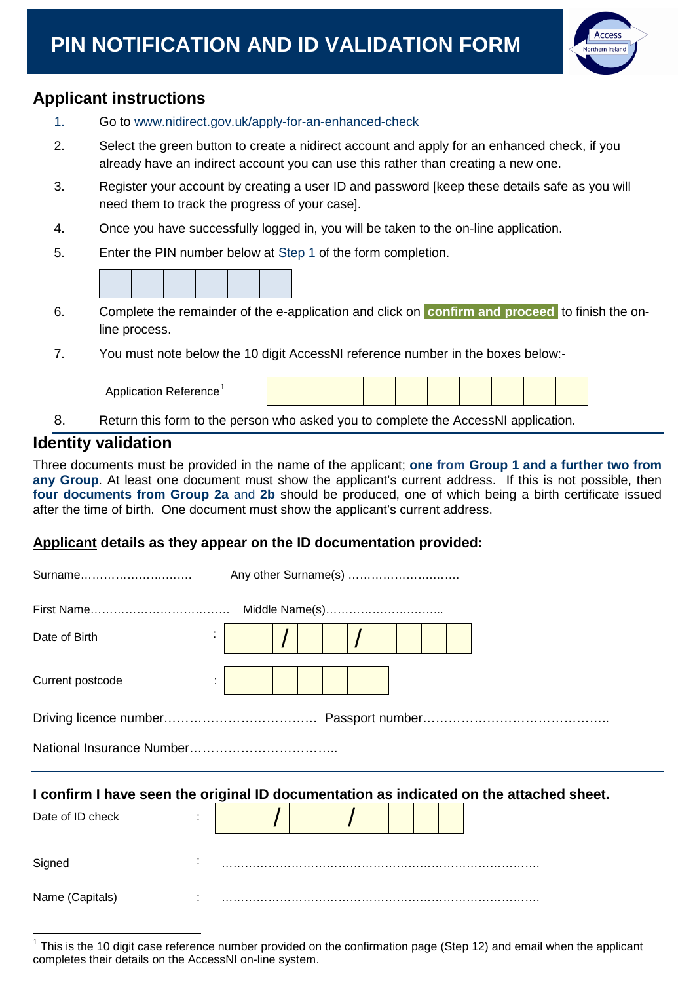# **PIN NOTIFICATION AND ID VALIDATION FORM**



### **Applicant instructions**

| 1. | Go to www.nidirect.gov.uk/apply-for-an-enhanced-check                                                                                                                             |  |  |
|----|-----------------------------------------------------------------------------------------------------------------------------------------------------------------------------------|--|--|
| 2. | Select the green button to create a nidirect account and apply for an enhanced check, if you<br>already have an indirect account you can use this rather than creating a new one. |  |  |
| 3. | Register your account by creating a user ID and password [keep these details safe as you will<br>need them to track the progress of your case].                                   |  |  |
| 4. | Once you have successfully logged in, you will be taken to the on-line application.                                                                                               |  |  |
| 5. | Enter the PIN number below at Step 1 of the form completion.                                                                                                                      |  |  |
|    |                                                                                                                                                                                   |  |  |
| 6. | Complete the remainder of the e-application and click on confirm and proceed to finish the on-<br>line process.                                                                   |  |  |
| 7. | You must note below the 10 digit AccessNI reference number in the boxes below:-                                                                                                   |  |  |
|    | Application Reference <sup>1</sup>                                                                                                                                                |  |  |
| 8. | Return this form to the person who asked you to complete the AccessNI application.                                                                                                |  |  |

#### **Identity validation**

Three documents must be provided in the name of the applicant; **one from Group 1 and a further two from**  any Group. At least one document must show the applicant's current address. If this is not possible, then **four documents from Group 2a** and **2b** should be produced, one of which being a birth certificate issued after the time of birth. One document must show the applicant's current address.

#### **Applicant details as they appear on the ID documentation provided:**

| Surname                                                                                 |  |  |  |  |
|-----------------------------------------------------------------------------------------|--|--|--|--|
|                                                                                         |  |  |  |  |
| Date of Birth                                                                           |  |  |  |  |
| Current postcode                                                                        |  |  |  |  |
|                                                                                         |  |  |  |  |
|                                                                                         |  |  |  |  |
| I confirm I have seen the original ID documentation as indicated on the attached sheet. |  |  |  |  |
| Date of ID check                                                                        |  |  |  |  |
| Signed                                                                                  |  |  |  |  |
| Name (Capitals)                                                                         |  |  |  |  |

<span id="page-0-0"></span> $1$  This is the 10 digit case reference number provided on the confirmation page (Step 12) and email when the applicant completes their details on the AccessNI on-line system.